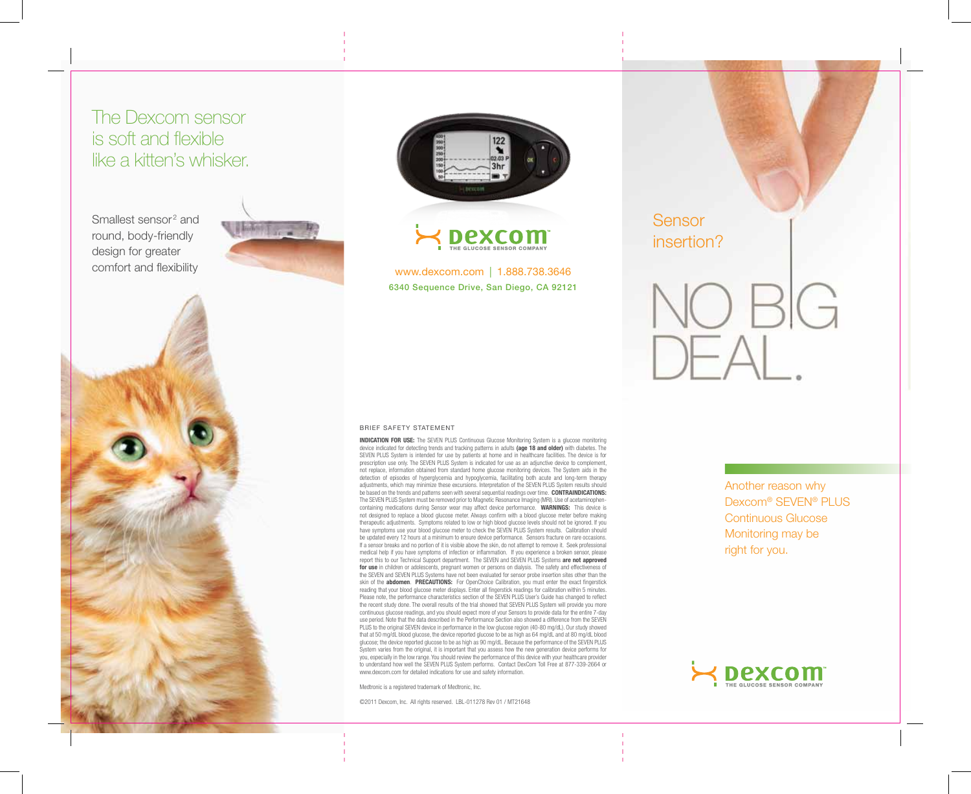## The Dexcom sensor is soft and flexible like a kitten's whisker.

Smallest sensor<sup>2</sup> and round, body-friendly design for greater comfort and flexibility







www.dexcom.com | 1.888.738.3646 6340 Sequence Drive, San Diego, CA 92121



**INDICATION FOR USE:** The SEVEN PLUS Continuous Glucose Monitoring System is a glucose monitoring device indicated for detecting trends and tracking patterns in adults **(age 18 and older)** with diabetes. The SEVEN PLUS System is intended for use by patients at home and in healthcare facilities. The device is for prescription use only. The SEVEN PLUS System is indicated for use as an adjunctive device to complement not replace, information obtained from standard home glucose monitoring devices. The System aids in the detection of episodes of hyperglycemia and hypoglycemia, facilitating both acute and long-term therapy adjustments, which may minimize these excursions. Interpretation of the SEVEN PLUS System results should be based on the trends and patterns seen with several sequential readings over time. **CONTRAINDICATIONS:** The SEVEN PLUS System must be removed prior to Magnetic Resonance Imaging (MRI). Use of acetaminophencontaining medications during Sensor wear may affect device performance. **WARNINGS:** This device is not designed to replace a blood glucose meter. Always confirm with a blood glucose meter before making therapeutic adjustments. Symptoms related to low or high blood glucose levels should not be ignored. If you have symptoms use your blood glucose meter to check the SEVEN PLUS System results. Calibration should be updated every 12 hours at a minimum to ensure device performance. Sensors fracture on rare occasions. If a sensor breaks and no portion of it is visible above the skin, do not attempt to remove it. Seek professional medical help if you have symptoms of infection or inflammation. If you experience a broken sensor, please report this to our Technical Support department. The SEVEN and SEVEN PLUS Systems **are not approved for use** in children or adolescents, pregnant women or persons on dialysis. The safety and effectiveness of the SEVEN and SEVEN PLUS Systems have not been evaluated for sensor probe insertion sites other than the skin of the **abdomen. PRECAUTIONS:** For OpenChoice Calibration, you must enter the exact fingerstick reading that your blood glucose meter displays. Enter all fingerstick readings for calibration within 5 minutes. Please note, the performance characteristics section of the SEVEN PLUS User's Guide has changed to reflect the recent study done. The overall results of the trial showed that SEVEN PLUS System will provide you more continuous glucose readings, and you should expect more of your Sensors to provide data for the entire 7-day use period. Note that the data described in the Performance Section also showed a difference from the SEVEN PLUS to the original SEVEN device in performance in the low glucose region (40-80 mg/dL). Our study showed that at 50 mg/dL blood glucose, the device reported glucose to be as high as 64 mg/dL and at 80 mg/dL blood glucose; the device reported glucose to be as high as 90 mg/dL. Because the performance of the SEVEN PLUS System varies from the original, it is important that you assess how the new generation device performs for you, especially in the low range. You should review the performance of this device with your healthcare provider to understand how well the SEVEN PLUS System performs. Contact DexCom Toll Free at 877-339-2664 or www.dexcom.com for detailed indications for use and safety information.

Medtronic is a registered trademark of Medtronic, Inc.

©2011 Dexcom, Inc. All rights reserved. LBL-011278 Rev 01 / MT21648

Another reason why Dexcom® SEVEN® PLUS Continuous Glucose Monitoring may be right for you.

**Sensor** 

insertion?